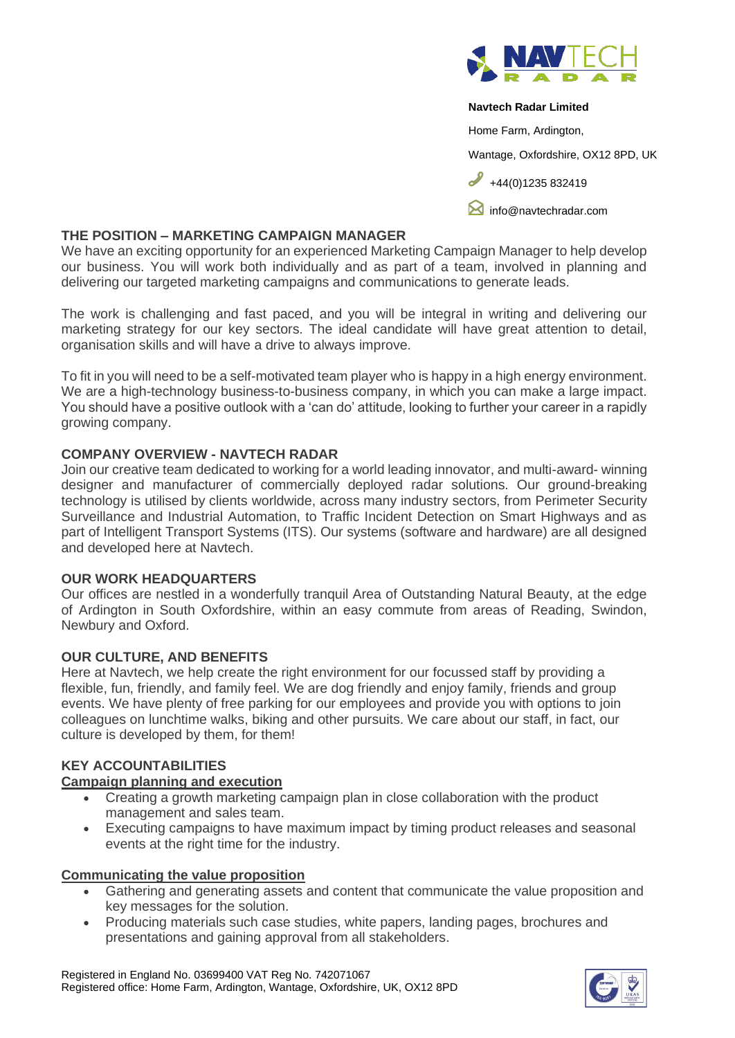

#### **Navtech Radar Limited**

Home Farm, Ardington,

Wantage, Oxfordshire, OX12 8PD, UK

 $+44(0)1235832419$ 

**M** [info@navtechradar.com](mailto:info@navtechradar.com)

## **THE POSITION – MARKETING CAMPAIGN MANAGER**

We have an exciting opportunity for an experienced Marketing Campaign Manager to help develop our business. You will work both individually and as part of a team, involved in planning and delivering our targeted marketing campaigns and communications to generate leads.

The work is challenging and fast paced, and you will be integral in writing and delivering our marketing strategy for our key sectors. The ideal candidate will have great attention to detail, organisation skills and will have a drive to always improve.

To fit in you will need to be a self-motivated team player who is happy in a high energy environment. We are a high-technology business-to-business company, in which you can make a large impact. You should have a positive outlook with a 'can do' attitude, looking to further your career in a rapidly growing company.

# **COMPANY OVERVIEW - NAVTECH RADAR**

Join our creative team dedicated to working for a world leading innovator, and multi-award- winning designer and manufacturer of commercially deployed radar solutions. Our ground-breaking technology is utilised by clients worldwide, across many industry sectors, from Perimeter Security Surveillance and Industrial Automation, to Traffic Incident Detection on Smart Highways and as part of Intelligent Transport Systems (ITS). Our systems (software and hardware) are all designed and developed here at Navtech.

### **OUR WORK HEADQUARTERS**

Our offices are nestled in a wonderfully tranquil Area of Outstanding Natural Beauty, at the edge of Ardington in South Oxfordshire, within an easy commute from areas of Reading, Swindon, Newbury and Oxford.

# **OUR CULTURE, AND BENEFITS**

Here at Navtech, we help create the right environment for our focussed staff by providing a flexible, fun, friendly, and family feel. We are dog friendly and enjoy family, friends and group events. We have plenty of free parking for our employees and provide you with options to join colleagues on lunchtime walks, biking and other pursuits. We care about our staff, in fact, our culture is developed by them, for them!

# **KEY ACCOUNTABILITIES**

### **Campaign planning and execution**

- Creating a growth marketing campaign plan in close collaboration with the product management and sales team.
- Executing campaigns to have maximum impact by timing product releases and seasonal events at the right time for the industry.

### **Communicating the value proposition**

- Gathering and generating assets and content that communicate the value proposition and key messages for the solution.
- Producing materials such case studies, white papers, landing pages, brochures and presentations and gaining approval from all stakeholders.